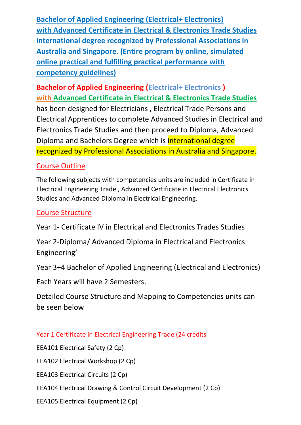**Bachelor of Applied Engineering (Electrical+ Electronics) with Advanced Certificate in Electrical & Electronics Trade Studies international degree recognized by Professional Associations in Australia and Singapore**. **(Entire program by online, simulated online practical and fulfilling practical performance with competency guidelines)**

**Bachelor of Applied Engineering (Electrical+ Electronics ) with Advanced Certificate in Electrical & Electronics Trade Studies**  has been designed for Electricians , Electrical Trade Persons and Electrical Apprentices to complete Advanced Studies in Electrical and Electronics Trade Studies and then proceed to Diploma, Advanced Diploma and Bachelors Degree which is international degree recognized by Professional Associations in Australia and Singapore.

## Course Outline

The following subjects with competencies units are included in Certificate in Electrical Engineering Trade , Advanced Certificate in Electrical Electronics Studies and Advanced Diploma in Electrical Engineering.

## Course Structure

Year 1- Certificate IV in Electrical and Electronics Trades Studies

Year 2-Diploma/ Advanced Diploma in Electrical and Electronics Engineering'

Year 3+4 Bachelor of Applied Engineering (Electrical and Electronics)

Each Years will have 2 Semesters.

Detailed Course Structure and Mapping to Competencies units can be seen below

### Year 1 Certificate in Electrical Engineering Trade (24 credits

EEA101 Electrical Safety (2 Cp)

EEA102 Electrical Workshop (2 Cp)

EEA103 Electrical Circuits (2 Cp)

EEA104 Electrical Drawing & Control Circuit Development (2 Cp)

EEA105 Electrical Equipment (2 Cp)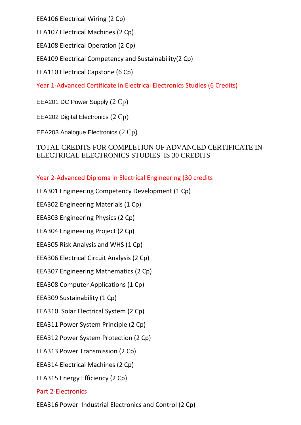EEA106 Electrical Wiring (2 Cp)

EEA107 Electrical Machines (2 Cp)

EEA108 Electrical Operation (2 Cp)

EEA109 Electrical Competency and Sustainability(2 Cp)

EEA110 Electrical Capstone (6 Cp)

Year 1-Advanced Certificate in Electrical Electronics Studies (6 Credits)

EEA201 DC Power Supply (2 Cp)

EEA202 Digital Electronics (2 Cp)

EEA203 Analogue Electronics (2 Cp)

### TOTAL CREDITS FOR COMPLETION OF ADVANCED CERTIFICATE IN ELECTRICAL ELECTRONICS STUDIES IS 30 CREDITS

Year 2-Advanced Diploma in Electrical Engineering (30 credits

EEA301 Engineering Competency Development (1 Cp)

EEA302 Engineering Materials (1 Cp)

EEA303 Engineering Physics (2 Cp)

EEA304 Engineering Project (2 Cp)

EEA305 Risk Analysis and WHS (1 Cp)

EEA306 Electrical Circuit Analysis (2 Cp)

EEA307 Engineering Mathematics (2 Cp)

EEA308 Computer Applications (1 Cp)

EEA309 Sustainability (1 Cp)

EEA310 Solar Electrical System (2 Cp)

EEA311 Power System Principle (2 Cp)

EEA312 Power System Protection (2 Cp)

EEA313 Power Transmission (2 Cp)

EEA314 Electrical Machines (2 Cp)

EEA315 Energy Efficiency (2 Cp)

### Part 2-Electronics

EEA316 Power Industrial Electronics and Control (2 Cp)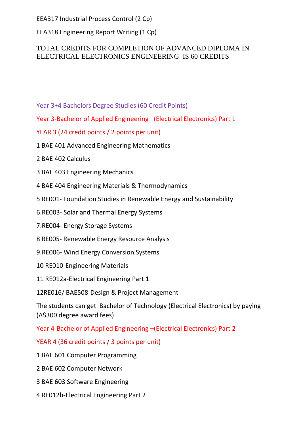EEA317 Industrial Process Control (2 Cp)

EEA318 Engineering Report Writing (1 Cp)

### TOTAL CREDITS FOR COMPLETION OF ADVANCED DIPLOMA IN ELECTRICAL ELECTRONICS ENGINEERING IS 60 CREDITS

- Year 3+4 Bachelors Degree Studies (60 Credit Points)
- Year 3-Bachelor of Applied Engineering –(Electrical Electronics) Part 1
- YEAR 3 (24 credit points / 2 points per unit)
- 1 BAE 401 Advanced Engineering Mathematics
- 2 BAE 402 Calculus
- 3 BAE 403 Engineering Mechanics
- 4 BAE 404 Engineering Materials & Thermodynamics
- 5 RE001- Foundation Studies in Renewable Energy and Sustainability
- 6.RE003- Solar and Thermal Energy Systems
- 7.RE004- Energy Storage Systems
- 8 RE005- Renewable Energy Resource Analysis
- 9.RE006- Wind Energy Conversion Systems
- 10 RE010-Engineering Materials
- 11 RE012a-Electrical Engineering Part 1
- 12RE016/ BAE508-Design & Project Management

The students can get Bachelor of Technology (Electrical Electronics) by paying (A\$300 degree award fees)

Year 4-Bachelor of Applied Engineering –(Electrical Electronics) Part 2

YEAR 4 (36 credit points / 3 points per unit)

- 1 BAE 601 Computer Programming
- 2 BAE 602 Computer Network
- 3 BAE 603 Software Engineering
- 4 RE012b-Electrical Engineering Part 2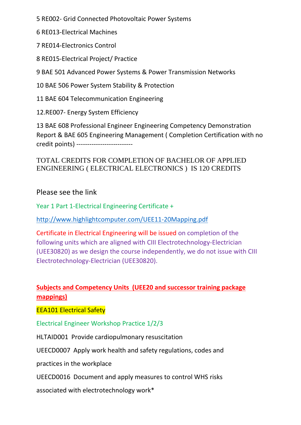5 RE002- Grid Connected Photovoltaic Power Systems

6 RE013-Electrical Machines

7 RE014-Electronics Control

8 RE015-Electrical Project/ Practice

9 BAE 501 Advanced Power Systems & Power Transmission Networks

10 BAE 506 Power System Stability & Protection

11 BAE 604 Telecommunication Engineering

12.RE007- Energy System Efficiency

13 BAE 608 Professional Engineer Engineering Competency Demonstration Report & BAE 605 Engineering Management ( Completion Certification with no credit points) --------------------------

### TOTAL CREDITS FOR COMPLETION OF BACHELOR OF APPLIED ENGINEERING ( ELECTRICAL ELECTRONICS ) IS 120 CREDITS

Please see the link

Year 1 Part 1-Electrical Engineering Certificate +

<http://www.highlightcomputer.com/UEE11-20Mapping.pdf>

Certificate in Electrical Engineering will be issued on completion of the following units which are aligned with CIII Electrotechnology-Electrician (UEE30820) as we design the course independently, we do not issue with CIII Electrotechnology-Electrician (UEE30820).

### **Subjects and Competency Units (UEE20 and successor training package mappings)**

EEA101 Electrical Safety

Electrical Engineer Workshop Practice 1/2/3

HLTAID001 Provide cardiopulmonary resuscitation

UEECD0007 Apply work health and safety regulations, codes and

practices in the workplace

UEECD0016 Document and apply measures to control WHS risks

associated with electrotechnology work\*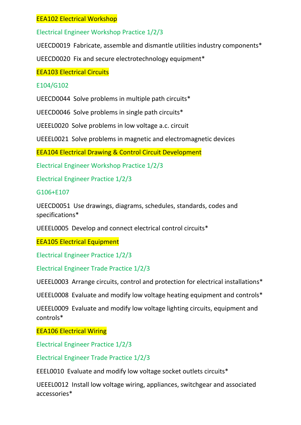### EEA102 Electrical Workshop

Electrical Engineer Workshop Practice 1/2/3

UEECD0019 Fabricate, assemble and dismantle utilities industry components\*

UEECD0020 Fix and secure electrotechnology equipment\*

EEA103 Electrical Circuits

### E104/G102

UEECD0044 Solve problems in multiple path circuits\*

UEECD0046 Solve problems in single path circuits\*

UEEEL0020 Solve problems in low voltage a.c. circuit

UEEEL0021 Solve problems in magnetic and electromagnetic devices

EEA104 Electrical Drawing & Control Circuit Development

Electrical Engineer Workshop Practice 1/2/3

Electrical Engineer Practice 1/2/3

G106+E107

UEECD0051 Use drawings, diagrams, schedules, standards, codes and specifications\*

UEEEL0005 Develop and connect electrical control circuits\*

EEA105 Electrical Equipment

Electrical Engineer Practice 1/2/3

Electrical Engineer Trade Practice 1/2/3

UEEEL0003 Arrange circuits, control and protection for electrical installations\*

UEEEL0008 Evaluate and modify low voltage heating equipment and controls\*

UEEEL0009 Evaluate and modify low voltage lighting circuits, equipment and controls\*

EEA106 Electrical Wiring

Electrical Engineer Practice 1/2/3

Electrical Engineer Trade Practice 1/2/3

EEEL0010 Evaluate and modify low voltage socket outlets circuits\*

UEEEL0012 Install low voltage wiring, appliances, switchgear and associated accessories\*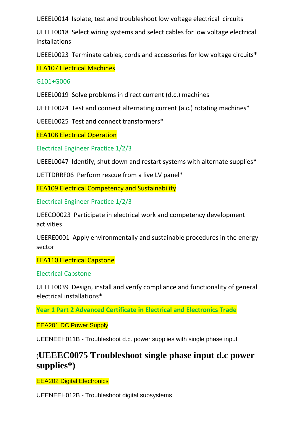UEEEL0014 Isolate, test and troubleshoot low voltage electrical circuits

UEEEL0018 Select wiring systems and select cables for low voltage electrical installations

UEEEL0023 Terminate cables, cords and accessories for low voltage circuits\*

EEA107 Electrical Machines

G101+G006

UEEEL0019 Solve problems in direct current (d.c.) machines

UEEEL0024 Test and connect alternating current (a.c.) rotating machines\*

UEEEL0025 Test and connect transformers\*

EEA108 Electrical Operation

Electrical Engineer Practice 1/2/3

UEEEL0047 Identify, shut down and restart systems with alternate supplies\*

UETTDRRF06 Perform rescue from a live LV panel\*

EEA109 Electrical Competency and Sustainability

Electrical Engineer Practice 1/2/3

UEECO0023 Participate in electrical work and competency development activities

UEERE0001 Apply environmentally and sustainable procedures in the energy sector

EEA110 Electrical Capstone

Electrical Capstone

UEEEL0039 Design, install and verify compliance and functionality of general electrical installations\*

**Year 1 Part 2 Advanced Certificate in Electrical and Electronics Trade**

EEA201 DC Power Supply

UEENEEH011B - Troubleshoot d.c. power supplies with single phase input

# (**UEEEC0075 Troubleshoot single phase input d.c power supplies\*)**

EEA202 Digital Electronics

UEENEEH012B - Troubleshoot digital subsystems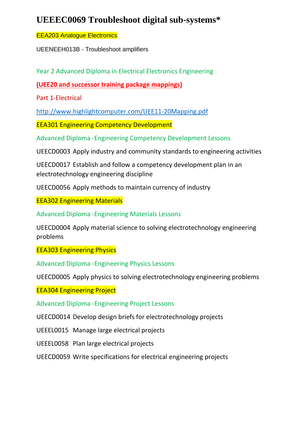# **UEEEC0069 Troubleshoot digital sub-systems\***

#### EEA203 Analogue Electronics

UEENEEH013B - Troubleshoot amplifiers

Year 2 Advanced Diploma in Electrical Electronics Engineering

**(UEE20 and successor training package mappings)**

Part 1-Electrical

<http://www.highlightcomputer.com/UEE11-20Mapping.pdf>

EEA301 Engineering Competency Development

Advanced Diploma -Engineering Competency Development Lessons

UEECD0003 Apply industry and community standards to engineering activities

UEECD0017 Establish and follow a competency development plan in an electrotechnology engineering discipline

UEECD0056 Apply methods to maintain currency of industry

EEA302 Engineering Materials

Advanced Diploma -Engineering Materials Lessons

UEECD0004 Apply material science to solving electrotechnology engineering problems

EEA303 Engineering Physics

Advanced Diploma -Engineering Physics Lessons

UEECD0005 Apply physics to solving electrotechnology engineering problems

EEA304 Engineering Project

Advanced Diploma -Engineering Project Lessons

UEECD0014 Develop design briefs for electrotechnology projects

UEEEL0015 Manage large electrical projects

UEEEL0058 Plan large electrical projects

UEECD0059 Write specifications for electrical engineering projects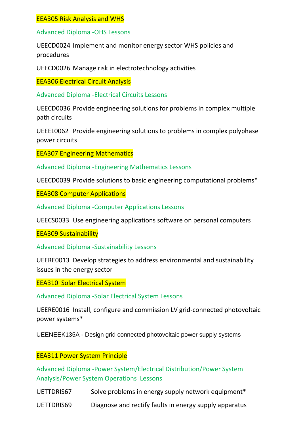#### EEA305 Risk Analysis and WHS

Advanced Diploma -OHS Lessons

UEECD0024 Implement and monitor energy sector WHS policies and procedures

UEECD0026 Manage risk in electrotechnology activities

EEA306 Electrical Circuit Analysis

Advanced Diploma -Electrical Circuits Lessons

UEECD0036 Provide engineering solutions for problems in complex multiple path circuits

UEEEL0062 Provide engineering solutions to problems in complex polyphase power circuits

EEA307 Engineering Mathematics

Advanced Diploma -Engineering Mathematics Lessons

UEECD0039 Provide solutions to basic engineering computational problems\*

EEA308 Computer Applications

Advanced Diploma -Computer Applications Lessons

UEECS0033 Use engineering applications software on personal computers

EEA309 Sustainability

Advanced Diploma -Sustainability Lessons

UEERE0013 Develop strategies to address environmental and sustainability issues in the energy sector

EEA310 Solar Electrical System

Advanced Diploma -Solar Electrical System Lessons

UEERE0016 Install, configure and commission LV grid-connected photovoltaic power systems\*

UEENEEK135A - Design grid connected photovoltaic power supply systems

#### EEA311 Power System Principle

Advanced Diploma -Power System/Electrical Distribution/Power System Analysis/Power System Operations Lessons

UETTDRIS67 Solve problems in energy supply network equipment\*

UETTDRIS69 Diagnose and rectify faults in energy supply apparatus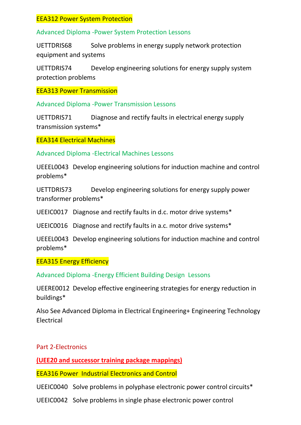#### EEA312 Power System Protection

Advanced Diploma -Power System Protection Lessons

UETTDRIS68 Solve problems in energy supply network protection equipment and systems

UETTDRIS74 Develop engineering solutions for energy supply system protection problems

EEA313 Power Transmission

Advanced Diploma -Power Transmission Lessons

UETTDRIS71 Diagnose and rectify faults in electrical energy supply transmission systems\*

EEA314 Electrical Machines

Advanced Diploma -Electrical Machines Lessons

UEEEL0043 Develop engineering solutions for induction machine and control problems\*

UETTDRIS73 Develop engineering solutions for energy supply power transformer problems\*

UEEIC0017 Diagnose and rectify faults in d.c. motor drive systems\*

UEEIC0016 Diagnose and rectify faults in a.c. motor drive systems\*

UEEEL0043 Develop engineering solutions for induction machine and control problems\*

EEA315 Energy Efficiency

Advanced Diploma -Energy Efficient Building Design Lessons

UEERE0012 Develop effective engineering strategies for energy reduction in buildings\*

Also See Advanced Diploma in Electrical Engineering+ Engineering Technology Electrical

#### Part 2-Electronics

**(UEE20 and successor training package mappings)**

EEA316 Power Industrial Electronics and Control

UEEIC0040 Solve problems in polyphase electronic power control circuits\*

UEEIC0042 Solve problems in single phase electronic power control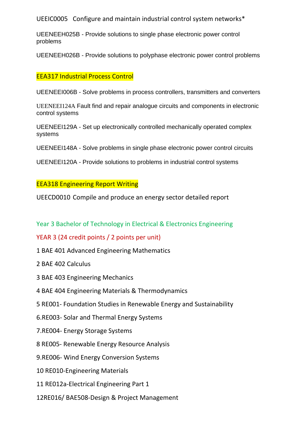UEEIC0005 Configure and maintain industrial control system networks\*

UEENEEH025B - Provide solutions to single phase electronic power control problems

UEENEEH026B - Provide solutions to polyphase electronic power control problems

### EEA317 Industrial Process Control

UEENEEI006B - Solve problems in process controllers, transmitters and converters

UEENEEI124A Fault find and repair analogue circuits and components in electronic control systems

UEENEEI129A - Set up electronically controlled mechanically operated complex systems

UEENEEI148A - Solve problems in single phase electronic power control circuits

UEENEEI120A - Provide solutions to problems in industrial control systems

### EEA318 Engineering Report Writing

UEECD0010 Compile and produce an energy sector detailed report

Year 3 Bachelor of Technology in Electrical & Electronics Engineering

#### YEAR 3 (24 credit points / 2 points per unit)

- 1 BAE 401 Advanced Engineering Mathematics
- 2 BAE 402 Calculus
- 3 BAE 403 Engineering Mechanics
- 4 BAE 404 Engineering Materials & Thermodynamics
- 5 RE001- Foundation Studies in Renewable Energy and Sustainability
- 6.RE003- Solar and Thermal Energy Systems
- 7.RE004- Energy Storage Systems
- 8 RE005- Renewable Energy Resource Analysis
- 9.RE006- Wind Energy Conversion Systems
- 10 RE010-Engineering Materials
- 11 RE012a-Electrical Engineering Part 1
- 12RE016/ BAE508-Design & Project Management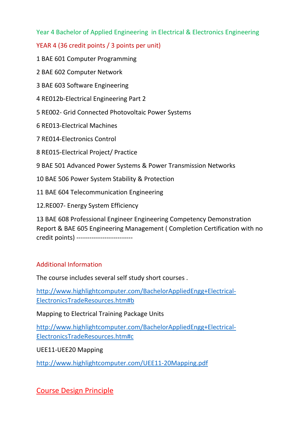Year 4 Bachelor of Applied Engineering in Electrical & Electronics Engineering

YEAR 4 (36 credit points / 3 points per unit)

1 BAE 601 Computer Programming

2 BAE 602 Computer Network

3 BAE 603 Software Engineering

4 RE012b-Electrical Engineering Part 2

5 RE002- Grid Connected Photovoltaic Power Systems

6 RE013-Electrical Machines

7 RE014-Electronics Control

8 RE015-Electrical Project/ Practice

9 BAE 501 Advanced Power Systems & Power Transmission Networks

10 BAE 506 Power System Stability & Protection

11 BAE 604 Telecommunication Engineering

12.RE007- Energy System Efficiency

13 BAE 608 Professional Engineer Engineering Competency Demonstration Report & BAE 605 Engineering Management ( Completion Certification with no credit points) --------------------------

## Additional Information

The course includes several self study short courses .

[http://www.highlightcomputer.com/BachelorAppliedEngg+Electrical-](http://www.highlightcomputer.com/BachelorAppliedEngg+Electrical-ElectronicsTradeResources.htm#b)[ElectronicsTradeResources.htm#b](http://www.highlightcomputer.com/BachelorAppliedEngg+Electrical-ElectronicsTradeResources.htm#b)

Mapping to Electrical Training Package Units

[http://www.highlightcomputer.com/BachelorAppliedEngg+Electrical-](http://www.highlightcomputer.com/BachelorAppliedEngg+Electrical-ElectronicsTradeResources.htm#c)[ElectronicsTradeResources.htm#c](http://www.highlightcomputer.com/BachelorAppliedEngg+Electrical-ElectronicsTradeResources.htm#c)

UEE11-UEE20 Mapping

<http://www.highlightcomputer.com/UEE11-20Mapping.pdf>

# Course Design Principle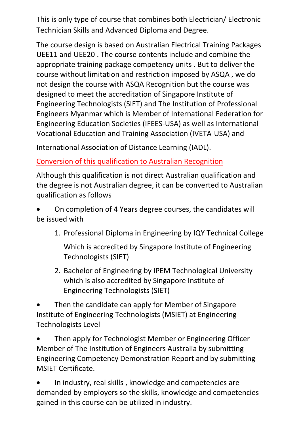This is only type of course that combines both Electrician/ Electronic Technician Skills and Advanced Diploma and Degree.

The course design is based on Australian Electrical Training Packages UEE11 and UEE20 . The course contents include and combine the appropriate training package competency units . But to deliver the course without limitation and restriction imposed by ASQA , we do not design the course with ASQA Recognition but the course was designed to meet the accreditation of Singapore Institute of Engineering Technologists (SIET) and The Institution of Professional Engineers Myanmar which is Member of International Federation for Engineering Education Societies (IFEES-USA) as well as [International](http://www.iqytechnicalcollege.com/ivetamembership.pdf)  [Vocational Education and Training Association \(IVETA-USA\) and](http://www.iqytechnicalcollege.com/ivetamembership.pdf)

[International Association of Distance Learning \(IADL\).](http://www.iqytechnicalcollege.com/IQYIADLCertificate.pdf)

Conversion of this qualification to Australian Recognition

Although this qualification is not direct Australian qualification and the degree is not Australian degree, it can be converted to Australian qualification as follows

• On completion of 4 Years degree courses, the candidates will be issued with

1. Professional Diploma in Engineering by IQY Technical College

Which is accredited by Singapore Institute of Engineering Technologists (SIET)

2. Bachelor of Engineering by IPEM Technological University which is also accredited by Singapore Institute of Engineering Technologists (SIET)

• Then the candidate can apply for Member of Singapore Institute of Engineering Technologists (MSIET) at Engineering Technologists Level

• Then apply for Technologist Member or Engineering Officer Member of The Institution of Engineers Australia by submitting Engineering Competency Demonstration Report and by submitting MSIET Certificate.

• In industry, real skills , knowledge and competencies are demanded by employers so the skills, knowledge and competencies gained in this course can be utilized in industry.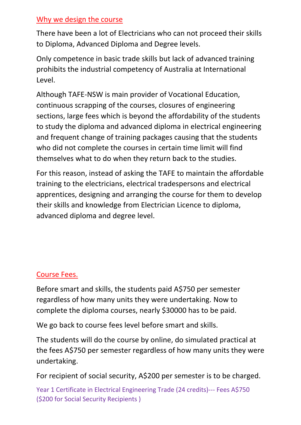## Why we design the course

There have been a lot of Electricians who can not proceed their skills to Diploma, Advanced Diploma and Degree levels.

Only competence in basic trade skills but lack of advanced training prohibits the industrial competency of Australia at International Level.

Although TAFE-NSW is main provider of Vocational Education, continuous scrapping of the courses, closures of engineering sections, large fees which is beyond the affordability of the students to study the diploma and advanced diploma in electrical engineering and frequent change of training packages causing that the students who did not complete the courses in certain time limit will find themselves what to do when they return back to the studies.

For this reason, instead of asking the TAFE to maintain the affordable training to the electricians, electrical tradespersons and electrical apprentices, designing and arranging the course for them to develop their skills and knowledge from Electrician Licence to diploma, advanced diploma and degree level.

# Course Fees.

Before smart and skills, the students paid A\$750 per semester regardless of how many units they were undertaking. Now to complete the diploma courses, nearly \$30000 has to be paid.

We go back to course fees level before smart and skills.

The students will do the course by online, do simulated practical at the fees A\$750 per semester regardless of how many units they were undertaking.

For recipient of social security, A\$200 per semester is to be charged.

Year 1 Certificate in Electrical Engineering Trade (24 credits)--- Fees A\$750 (\$200 for Social Security Recipients )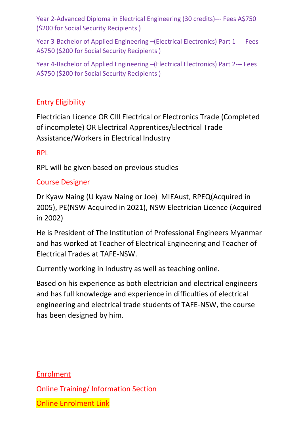Year 2-Advanced Diploma in Electrical Engineering (30 credits)--- Fees A\$750 (\$200 for Social Security Recipients )

Year 3-Bachelor of Applied Engineering –(Electrical Electronics) Part 1 --- Fees A\$750 (\$200 for Social Security Recipients )

Year 4-Bachelor of Applied Engineering –(Electrical Electronics) Part 2--- Fees A\$750 (\$200 for Social Security Recipients )

# Entry Eligibility

Electrician Licence OR CIII Electrical or Electronics Trade (Completed of incomplete) OR Electrical Apprentices/Electrical Trade Assistance/Workers in Electrical Industry

## RPL

RPL will be given based on previous studies

## Course Designer

Dr Kyaw Naing (U kyaw Naing or Joe) MIEAust, RPEQ(Acquired in 2005), PE(NSW Acquired in 2021), NSW Electrician Licence (Acquired in 2002)

He is President of The Institution of Professional Engineers Myanmar and has worked at Teacher of Electrical Engineering and Teacher of Electrical Trades at TAFE-NSW.

Currently working in Industry as well as teaching online.

Based on his experience as both electrician and electrical engineers and has full knowledge and experience in difficulties of electrical engineering and electrical trade students of TAFE-NSW, the course has been designed by him.

Enrolment Online Training/ Information Section Online Enrolment Link